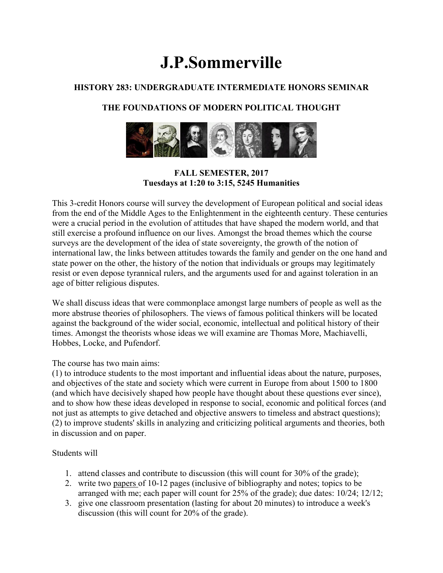# **J.P.Sommerville**

#### **HISTORY 283: UNDERGRADUATE INTERMEDIATE HONORS SEMINAR**

#### **THE FOUNDATIONS OF MODERN POLITICAL THOUGHT**



**FALL SEMESTER, 2017 Tuesdays at 1:20 to 3:15, 5245 Humanities**

This 3-credit Honors course will survey the development of European political and social ideas from the end of the Middle Ages to the Enlightenment in the eighteenth century. These centuries were a crucial period in the evolution of attitudes that have shaped the modern world, and that still exercise a profound influence on our lives. Amongst the broad themes which the course surveys are the development of the idea of state sovereignty, the growth of the notion of international law, the links between attitudes towards the family and gender on the one hand and state power on the other, the history of the notion that individuals or groups may legitimately resist or even depose tyrannical rulers, and the arguments used for and against toleration in an age of bitter religious disputes.

We shall discuss ideas that were commonplace amongst large numbers of people as well as the more abstruse theories of philosophers. The views of famous political thinkers will be located against the background of the wider social, economic, intellectual and political history of their times. Amongst the theorists whose ideas we will examine are Thomas More, Machiavelli, Hobbes, Locke, and Pufendorf.

The course has two main aims:

(1) to introduce students to the most important and influential ideas about the nature, purposes, and objectives of the state and society which were current in Europe from about 1500 to 1800 (and which have decisively shaped how people have thought about these questions ever since), and to show how these ideas developed in response to social, economic and political forces (and not just as attempts to give detached and objective answers to timeless and abstract questions); (2) to improve students' skills in analyzing and criticizing political arguments and theories, both in discussion and on paper.

Students will

- 1. attend classes and contribute to discussion (this will count for 30% of the grade);
- 2. write two papers of 10-12 pages (inclusive of bibliography and notes; topics to be arranged with me; each paper will count for 25% of the grade); due dates: 10/24; 12/12;
- 3. give one classroom presentation (lasting for about 20 minutes) to introduce a week's discussion (this will count for 20% of the grade).